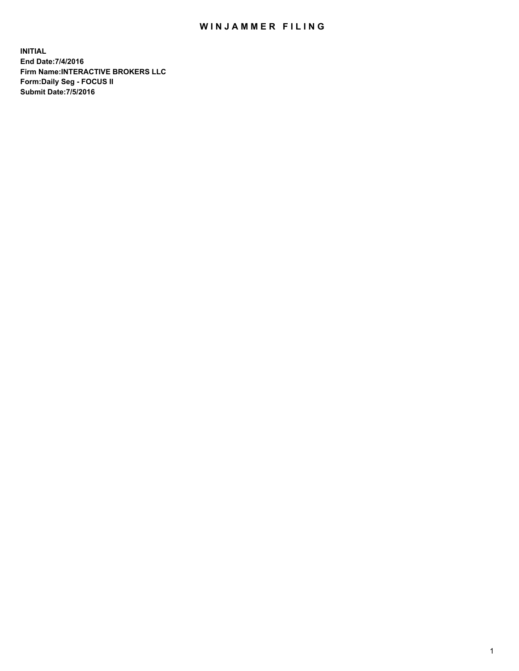## WIN JAMMER FILING

**INITIAL End Date:7/4/2016 Firm Name:INTERACTIVE BROKERS LLC Form:Daily Seg - FOCUS II Submit Date:7/5/2016**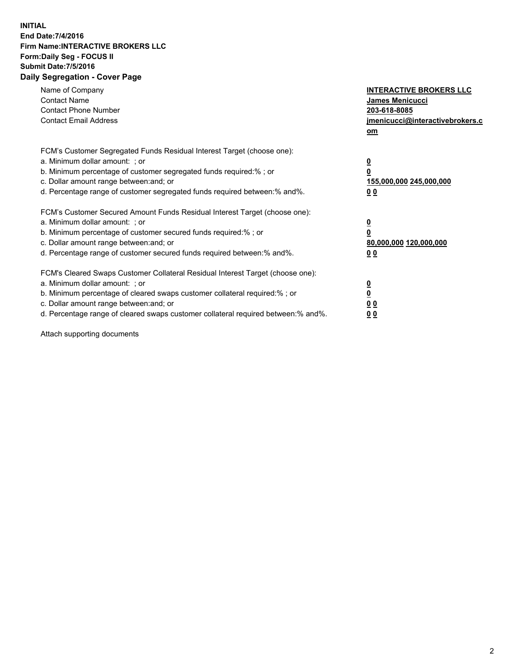## **INITIAL End Date:7/4/2016 Firm Name:INTERACTIVE BROKERS LLC Form:Daily Seg - FOCUS II Submit Date:7/5/2016 Daily Segregation - Cover Page**

| Name of Company<br><b>Contact Name</b><br><b>Contact Phone Number</b><br><b>Contact Email Address</b>                                                                                                                                                                                                                          | <b>INTERACTIVE BROKERS LLC</b><br><b>James Menicucci</b><br>203-618-8085<br>jmenicucci@interactivebrokers.c<br>om |
|--------------------------------------------------------------------------------------------------------------------------------------------------------------------------------------------------------------------------------------------------------------------------------------------------------------------------------|-------------------------------------------------------------------------------------------------------------------|
| FCM's Customer Segregated Funds Residual Interest Target (choose one):<br>a. Minimum dollar amount: ; or<br>b. Minimum percentage of customer segregated funds required:% ; or<br>c. Dollar amount range between: and; or<br>d. Percentage range of customer segregated funds required between:% and%.                         | $\overline{\mathbf{0}}$<br>0<br>155,000,000 245,000,000<br>0 <sub>0</sub>                                         |
| FCM's Customer Secured Amount Funds Residual Interest Target (choose one):<br>a. Minimum dollar amount: ; or<br>b. Minimum percentage of customer secured funds required:%; or<br>c. Dollar amount range between: and; or<br>d. Percentage range of customer secured funds required between:% and%.                            | $\overline{\mathbf{0}}$<br>$\overline{\mathbf{0}}$<br>80,000,000 120,000,000<br>00                                |
| FCM's Cleared Swaps Customer Collateral Residual Interest Target (choose one):<br>a. Minimum dollar amount: ; or<br>b. Minimum percentage of cleared swaps customer collateral required:% ; or<br>c. Dollar amount range between: and; or<br>d. Percentage range of cleared swaps customer collateral required between:% and%. | $\overline{\mathbf{0}}$<br>$\overline{\mathbf{0}}$<br>0 <sub>0</sub><br><u>00</u>                                 |

Attach supporting documents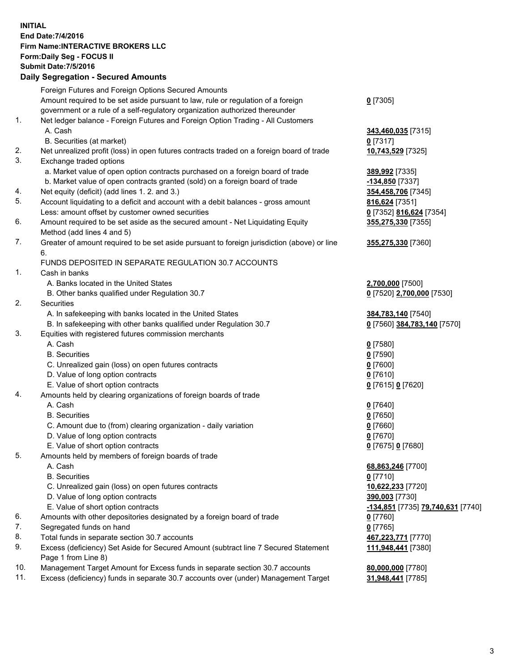## **INITIAL End Date:7/4/2016 Firm Name:INTERACTIVE BROKERS LLC Form:Daily Seg - FOCUS II Submit Date:7/5/2016 Daily Segregation - Secured Amounts**

|     | Foreign Futures and Foreign Options Secured Amounts                                         |                                   |
|-----|---------------------------------------------------------------------------------------------|-----------------------------------|
|     | Amount required to be set aside pursuant to law, rule or regulation of a foreign            | $0$ [7305]                        |
|     | government or a rule of a self-regulatory organization authorized thereunder                |                                   |
| 1.  | Net ledger balance - Foreign Futures and Foreign Option Trading - All Customers             |                                   |
|     | A. Cash                                                                                     | 343,460,035 [7315]                |
|     | B. Securities (at market)                                                                   | $0$ [7317]                        |
| 2.  | Net unrealized profit (loss) in open futures contracts traded on a foreign board of trade   | 10,743,529 [7325]                 |
| 3.  | Exchange traded options                                                                     |                                   |
|     | a. Market value of open option contracts purchased on a foreign board of trade              | 389,992 [7335]                    |
|     | b. Market value of open contracts granted (sold) on a foreign board of trade                | -134,850 [7337]                   |
| 4.  | Net equity (deficit) (add lines 1.2. and 3.)                                                | 354,458,706 [7345]                |
| 5.  | Account liquidating to a deficit and account with a debit balances - gross amount           | 816,624 [7351]                    |
|     | Less: amount offset by customer owned securities                                            | 0 [7352] 816,624 [7354]           |
| 6.  | Amount required to be set aside as the secured amount - Net Liquidating Equity              | 355,275,330 [7355]                |
|     | Method (add lines 4 and 5)                                                                  |                                   |
|     |                                                                                             |                                   |
| 7.  | Greater of amount required to be set aside pursuant to foreign jurisdiction (above) or line | 355,275,330 [7360]                |
|     | 6.                                                                                          |                                   |
|     | FUNDS DEPOSITED IN SEPARATE REGULATION 30.7 ACCOUNTS                                        |                                   |
| 1.  | Cash in banks                                                                               |                                   |
|     | A. Banks located in the United States                                                       | 2,700,000 [7500]                  |
|     | B. Other banks qualified under Regulation 30.7                                              | 0 [7520] 2,700,000 [7530]         |
| 2.  | Securities                                                                                  |                                   |
|     | A. In safekeeping with banks located in the United States                                   | 384,783,140 [7540]                |
|     | B. In safekeeping with other banks qualified under Regulation 30.7                          | 0 [7560] 384,783,140 [7570]       |
| 3.  | Equities with registered futures commission merchants                                       |                                   |
|     | A. Cash                                                                                     | $0$ [7580]                        |
|     | <b>B.</b> Securities                                                                        | $0$ [7590]                        |
|     | C. Unrealized gain (loss) on open futures contracts                                         | $0$ [7600]                        |
|     | D. Value of long option contracts                                                           | $0$ [7610]                        |
|     | E. Value of short option contracts                                                          | 0 [7615] 0 [7620]                 |
| 4.  | Amounts held by clearing organizations of foreign boards of trade                           |                                   |
|     | A. Cash                                                                                     | $0$ [7640]                        |
|     | <b>B.</b> Securities                                                                        | $0$ [7650]                        |
|     | C. Amount due to (from) clearing organization - daily variation                             | $0$ [7660]                        |
|     | D. Value of long option contracts                                                           | $0$ [7670]                        |
|     | E. Value of short option contracts                                                          | 0 [7675] 0 [7680]                 |
| 5.  | Amounts held by members of foreign boards of trade                                          |                                   |
|     | A. Cash                                                                                     | 68,863,246 [7700]                 |
|     | <b>B.</b> Securities                                                                        | $0$ [7710]                        |
|     | C. Unrealized gain (loss) on open futures contracts                                         | 10,622,233 [7720]                 |
|     | D. Value of long option contracts                                                           | 390,003 [7730]                    |
|     | E. Value of short option contracts                                                          | -134,851 [7735] 79,740,631 [7740] |
| 6.  | Amounts with other depositories designated by a foreign board of trade                      | $0$ [7760]                        |
| 7.  | Segregated funds on hand                                                                    | $0$ [7765]                        |
| 8.  | Total funds in separate section 30.7 accounts                                               | 467,223,771 [7770]                |
| 9.  | Excess (deficiency) Set Aside for Secured Amount (subtract line 7 Secured Statement         | 111,948,441 [7380]                |
|     | Page 1 from Line 8)                                                                         |                                   |
| 10. | Management Target Amount for Excess funds in separate section 30.7 accounts                 | 80,000,000 [7780]                 |
| 11. | Excess (deficiency) funds in separate 30.7 accounts over (under) Management Target          | 31,948,441 [7785]                 |
|     |                                                                                             |                                   |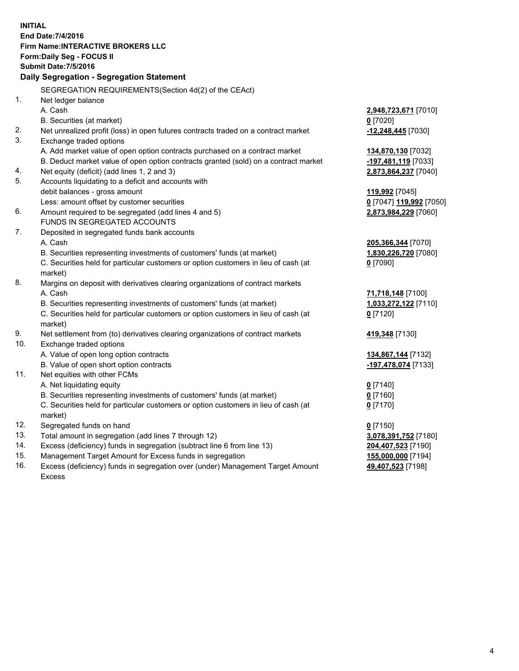**INITIAL End Date:7/4/2016 Firm Name:INTERACTIVE BROKERS LLC Form:Daily Seg - FOCUS II Submit Date:7/5/2016 Daily Segregation - Segregation Statement** SEGREGATION REQUIREMENTS(Section 4d(2) of the CEAct) 1. Net ledger balance A. Cash **2,948,723,671** [7010] B. Securities (at market) **0** [7020] 2. Net unrealized profit (loss) in open futures contracts traded on a contract market **-12,248,445** [7030] 3. Exchange traded options A. Add market value of open option contracts purchased on a contract market **134,870,130** [7032] B. Deduct market value of open option contracts granted (sold) on a contract market **-197,481,119** [7033] 4. Net equity (deficit) (add lines 1, 2 and 3) **2,873,864,237** [7040] 5. Accounts liquidating to a deficit and accounts with debit balances - gross amount **119,992** [7045] Less: amount offset by customer securities **0** [7047] **119,992** [7050] 6. Amount required to be segregated (add lines 4 and 5) **2,873,984,229** [7060] FUNDS IN SEGREGATED ACCOUNTS 7. Deposited in segregated funds bank accounts A. Cash **205,366,344** [7070] B. Securities representing investments of customers' funds (at market) **1,830,226,720** [7080] C. Securities held for particular customers or option customers in lieu of cash (at market) **0** [7090] 8. Margins on deposit with derivatives clearing organizations of contract markets A. Cash **71,718,148** [7100] B. Securities representing investments of customers' funds (at market) **1,033,272,122** [7110] C. Securities held for particular customers or option customers in lieu of cash (at market) **0** [7120] 9. Net settlement from (to) derivatives clearing organizations of contract markets **419,348** [7130] 10. Exchange traded options A. Value of open long option contracts **134,867,144** [7132] B. Value of open short option contracts **-197,478,074** [7133] 11. Net equities with other FCMs A. Net liquidating equity **0** [7140] B. Securities representing investments of customers' funds (at market) **0** [7160] C. Securities held for particular customers or option customers in lieu of cash (at market) **0** [7170] 12. Segregated funds on hand **0** [7150] 13. Total amount in segregation (add lines 7 through 12) **3,078,391,752** [7180] 14. Excess (deficiency) funds in segregation (subtract line 6 from line 13) **204,407,523** [7190] 15. Management Target Amount for Excess funds in segregation **155,000,000** [7194]

16. Excess (deficiency) funds in segregation over (under) Management Target Amount Excess

**49,407,523** [7198]